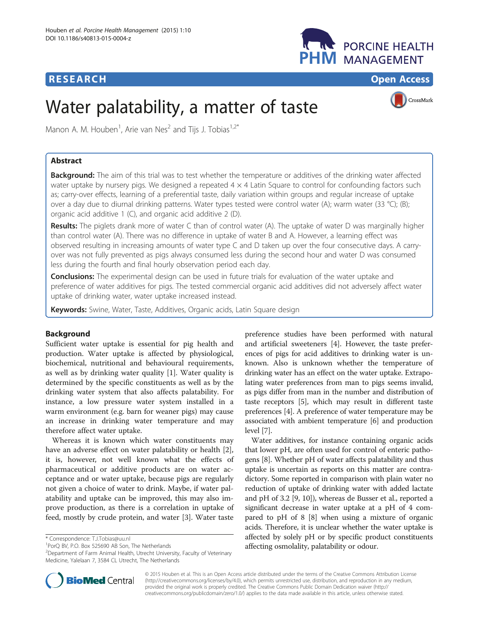# **RESEARCH RESEARCH** *CHECK CHECK CHECK CHECK CHECK CHECK CHECK CHECK CHECK CHECK CHECK CHECK CHECK CHECK CHECK CHECK CHECK CHECK CHECK CHECK CHECK CHECK CHECK CHECK CHECK CHECK CHECK CHECK CHECK CHECK CHECK CHECK CHECK*



# Water palatability, a matter of taste



Manon A. M. Houben<sup>1</sup>, Arie van Nes<sup>2</sup> and Tijs J. Tobias<sup>1,2\*</sup>

# Abstract

Background: The aim of this trial was to test whether the temperature or additives of the drinking water affected water uptake by nursery pigs. We designed a repeated  $4 \times 4$  Latin Square to control for confounding factors such as; carry-over effects, learning of a preferential taste, daily variation within groups and regular increase of uptake over a day due to diurnal drinking patterns. Water types tested were control water (A); warm water (33 °C); (B); organic acid additive 1 (C), and organic acid additive 2 (D).

Results: The piglets drank more of water C than of control water (A). The uptake of water D was marginally higher than control water (A). There was no difference in uptake of water B and A. However, a learning effect was observed resulting in increasing amounts of water type C and D taken up over the four consecutive days. A carryover was not fully prevented as pigs always consumed less during the second hour and water D was consumed less during the fourth and final hourly observation period each day.

**Conclusions:** The experimental design can be used in future trials for evaluation of the water uptake and preference of water additives for pigs. The tested commercial organic acid additives did not adversely affect water uptake of drinking water, water uptake increased instead.

Keywords: Swine, Water, Taste, Additives, Organic acids, Latin Square design

# Background

Sufficient water uptake is essential for pig health and production. Water uptake is affected by physiological, biochemical, nutritional and behavioural requirements, as well as by drinking water quality [[1\]](#page-6-0). Water quality is determined by the specific constituents as well as by the drinking water system that also affects palatability. For instance, a low pressure water system installed in a warm environment (e.g. barn for weaner pigs) may cause an increase in drinking water temperature and may therefore affect water uptake.

Whereas it is known which water constituents may have an adverse effect on water palatability or health [\[2](#page-6-0)], it is, however, not well known what the effects of pharmaceutical or additive products are on water acceptance and or water uptake, because pigs are regularly not given a choice of water to drink. Maybe, if water palatability and uptake can be improved, this may also improve production, as there is a correlation in uptake of feed, mostly by crude protein, and water [[3](#page-6-0)]. Water taste

preference studies have been performed with natural and artificial sweeteners [[4\]](#page-6-0). However, the taste preferences of pigs for acid additives to drinking water is unknown. Also is unknown whether the temperature of drinking water has an effect on the water uptake. Extrapolating water preferences from man to pigs seems invalid, as pigs differ from man in the number and distribution of taste receptors [\[5\]](#page-6-0), which may result in different taste preferences [\[4\]](#page-6-0). A preference of water temperature may be associated with ambient temperature [\[6](#page-6-0)] and production level [[7](#page-6-0)].

Water additives, for instance containing organic acids that lower pH, are often used for control of enteric pathogens [\[8](#page-6-0)]. Whether pH of water affects palatability and thus uptake is uncertain as reports on this matter are contradictory. Some reported in comparison with plain water no reduction of uptake of drinking water with added lactate and pH of 3.2 [\[9](#page-6-0), [10\]](#page-6-0)), whereas de Busser et al., reported a significant decrease in water uptake at a pH of 4 compared to pH of 8 [[8\]](#page-6-0) when using a mixture of organic acids. Therefore, it is unclear whether the water uptake is affected by solely pH or by specific product constituents affecting osmolality, palatability or odour.



© 2015 Houben et al. This is an Open Access article distributed under the terms of the Creative Commons Attribution License [\(http://creativecommons.org/licenses/by/4.0\)](http://creativecommons.org/licenses/by/4.0), which permits unrestricted use, distribution, and reproduction in any medium, provided the original work is properly credited. The Creative Commons Public Domain Dedication waiver [\(http://](http://creativecommons.org/publicdomain/zero/1.0/) [creativecommons.org/publicdomain/zero/1.0/\)](http://creativecommons.org/publicdomain/zero/1.0/) applies to the data made available in this article, unless otherwise stated.

<sup>\*</sup> Correspondence: [T.J.Tobias@uu.nl](mailto:T.J.Tobias@uu.nl) <sup>1</sup>

<sup>&</sup>lt;sup>1</sup>PorQ BV, P.O. Box 525690 AB Son, The Netherlands

<sup>&</sup>lt;sup>2</sup>Department of Farm Animal Health, Utrecht University, Faculty of Veterinary Medicine, Yalelaan 7, 3584 CL Utrecht, The Netherlands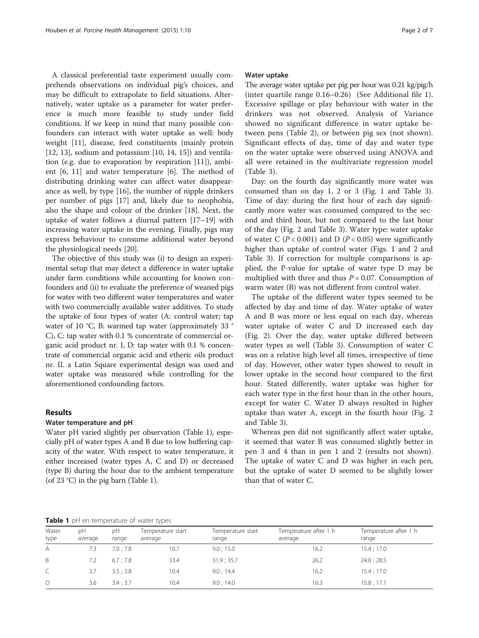<span id="page-1-0"></span>A classical preferential taste experiment usually comprehends observations on individual pig's choices, and may be difficult to extrapolate to field situations. Alternatively, water uptake as a parameter for water preference is much more feasible to study under field conditions. If we keep in mind that many possible confounders can interact with water uptake as well: body weight [[11\]](#page-6-0), disease, feed constituents (mainly protein  $[12, 13]$  $[12, 13]$ , sodium and potassium  $[10, 14, 15]$  $[10, 14, 15]$  $[10, 14, 15]$  $[10, 14, 15]$  $[10, 14, 15]$  $[10, 14, 15]$  and ventilation (e.g. due to evaporation by respiration [[11](#page-6-0)]), ambient [\[6](#page-6-0), [11\]](#page-6-0) and water temperature [\[6\]](#page-6-0). The method of distributing drinking water can affect water disappearance as well, by type [[16](#page-6-0)], the number of nipple drinkers per number of pigs [[17\]](#page-6-0) and, likely due to neophobia, also the shape and colour of the drinker [\[18\]](#page-6-0). Next, the uptake of water follows a diurnal pattern [[17](#page-6-0)–[19](#page-6-0)] with increasing water uptake in the evening. Finally, pigs may express behaviour to consume additional water beyond the physiological needs [\[20](#page-6-0)].

The objective of this study was (i) to design an experimental setup that may detect a difference in water uptake under farm conditions while accounting for known confounders and (ii) to evaluate the preference of weaned pigs for water with two different water temperatures and water with two commercially available water additives. To study the uptake of four types of water (A: control water; tap water of 10 °C, B: warmed tap water (approximately 33 ° C), C: tap water with 0.1 % concentrate of commercial organic acid product nr. I, D: tap water with 0.1 % concentrate of commercial organic acid and etheric oils product nr. II. a Latin Square experimental design was used and water uptake was measured while controlling for the aforementioned confounding factors.

## Results

#### Water temperature and pH

Water pH varied slightly per observation (Table 1), especially pH of water types A and B due to low buffering capacity of the water. With respect to water temperature, it either increased (water types A, C and D) or decreased (type B) during the hour due to the ambient temperature (of 23 °C) in the pig barn (Table 1).

#### Water uptake

The average water uptake per pig per hour was 0.21 kg/pig/h (inter quartile range 0.16–0.26) (See Additional file [1](#page-6-0)). Excessive spillage or play behaviour with water in the drinkers was not observed. Analysis of Variance showed no significant difference in water uptake between pens (Table [2](#page-2-0)), or between pig sex (not shown). Significant effects of day, time of day and water type on the water uptake were observed using ANOVA and all were retained in the multivariate regression model (Table [3](#page-2-0)).

Day: on the fourth day significantly more water was consumed than on day 1, 2 or 3 (Fig. [1](#page-3-0) and Table [3](#page-2-0)). Time of day: during the first hour of each day significantly more water was consumed compared to the second and third hour, but not compared to the last hour of the day (Fig. [2](#page-4-0) and Table [3](#page-2-0)). Water type: water uptake of water C ( $P < 0.001$ ) and D ( $P < 0.05$ ) were significantly higher than uptake of control water (Figs. [1](#page-3-0) and [2](#page-4-0) and Table [3](#page-2-0)). If correction for multiple comparisons is applied, the P-value for uptake of water type D may be multiplied with three and thus  $P = 0.07$ . Consumption of warm water (B) was not different from control water.

The uptake of the different water types seemed to be affected by day and time of day. Water uptake of water A and B was more or less equal on each day, whereas water uptake of water C and D increased each day (Fig. [2\)](#page-4-0). Over the day, water uptake differed between water types as well (Table [3\)](#page-2-0). Consumption of water C was on a relative high level all times, irrespective of time of day. However, other water types showed to result in lower uptake in the second hour compared to the first hour. Stated differently, water uptake was higher for each water type in the first hour than in the other hours, except for water C. Water D always resulted in higher uptake than water A, except in the fourth hour (Fig. [2](#page-4-0) and Table [3\)](#page-2-0).

Whereas pen did not significantly affect water uptake, it seemed that water B was consumed slightly better in pen 3 and 4 than in pen 1 and 2 (results not shown). The uptake of water C and D was higher in each pen, but the uptake of water D seemed to be slightly lower than that of water C.

Table 1 pH en temperature of water types

| Water<br>type | рH<br>average | рH<br>range | Temperature start<br>average | Temperature start<br>range | Temperature after 1 h<br>average | Temperature after 1 h<br>range |
|---------------|---------------|-------------|------------------------------|----------------------------|----------------------------------|--------------------------------|
| A             | 7.3           | 7.0:7.8     | 10.7                         | 9.0; 15.0                  | 16.2                             | 15.4; 17.0                     |
| <sup>B</sup>  | 7.2           | 6.7:7.8     | 33.4                         | 31.9:35.7                  | 26.2                             | 24.0; 28.5                     |
| $\mathcal{C}$ | 3.7           | 3.5:3.8     | 10.4                         | 9.0:14.4                   | 16.2                             | 15.4; 17.0                     |
| D             | 3.6           | 3.4:3.7     | 10.4                         | 9.0;14.0                   | 16.3                             | 15.8; 17.1                     |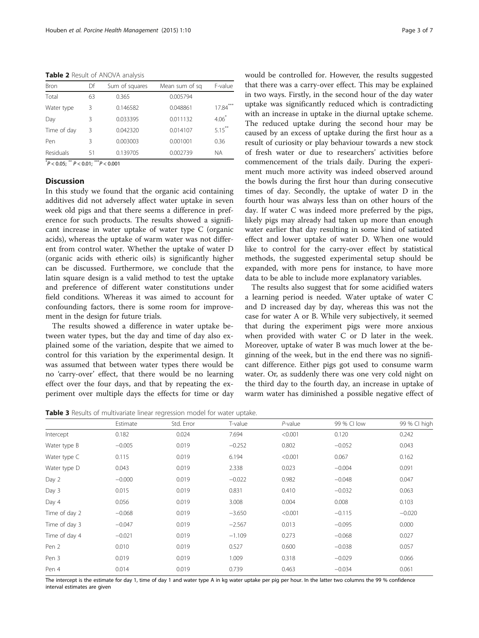<span id="page-2-0"></span>Table 2 Result of ANOVA analysis

| <b>Bron</b> | Df | Sum of squares | Mean sum of sq | F-value   |  |
|-------------|----|----------------|----------------|-----------|--|
| Total       | 63 | 0.365          | 0.005794       |           |  |
| Water type  | 3  | 0.146582       | 0.048861       | 17.84     |  |
| Day         | 3  | 0.033395       | 0.011132       | $4.06*$   |  |
| Time of day | 3  | 0.042320       | 0.014107       | $5.15***$ |  |
| Pen         | 3  | 0.003003       | 0.001001       | 0.36      |  |
| Residuals   | 51 | 0.139705       | 0.002739       | <b>NA</b> |  |

 $*P < 0.05$ ;  $** P < 0.01$ ;  $** P < 0.001$ 

## **Discussion**

In this study we found that the organic acid containing additives did not adversely affect water uptake in seven week old pigs and that there seems a difference in preference for such products. The results showed a significant increase in water uptake of water type C (organic acids), whereas the uptake of warm water was not different from control water. Whether the uptake of water D (organic acids with etheric oils) is significantly higher can be discussed. Furthermore, we conclude that the latin square design is a valid method to test the uptake and preference of different water constitutions under field conditions. Whereas it was aimed to account for confounding factors, there is some room for improvement in the design for future trials.

The results showed a difference in water uptake between water types, but the day and time of day also explained some of the variation, despite that we aimed to control for this variation by the experimental design. It was assumed that between water types there would be no 'carry-over' effect, that there would be no learning effect over the four days, and that by repeating the experiment over multiple days the effects for time or day would be controlled for. However, the results suggested that there was a carry-over effect. This may be explained in two ways. Firstly, in the second hour of the day water uptake was significantly reduced which is contradicting with an increase in uptake in the diurnal uptake scheme. The reduced uptake during the second hour may be caused by an excess of uptake during the first hour as a result of curiosity or play behaviour towards a new stock of fresh water or due to researchers' activities before commencement of the trials daily. During the experiment much more activity was indeed observed around the bowls during the first hour than during consecutive times of day. Secondly, the uptake of water D in the fourth hour was always less than on other hours of the day. If water C was indeed more preferred by the pigs, likely pigs may already had taken up more than enough water earlier that day resulting in some kind of satiated effect and lower uptake of water D. When one would like to control for the carry-over effect by statistical methods, the suggested experimental setup should be expanded, with more pens for instance, to have more data to be able to include more explanatory variables.

The results also suggest that for some acidified waters a learning period is needed. Water uptake of water C and D increased day by day, whereas this was not the case for water A or B. While very subjectively, it seemed that during the experiment pigs were more anxious when provided with water C or D later in the week. Moreover, uptake of water B was much lower at the beginning of the week, but in the end there was no significant difference. Either pigs got used to consume warm water. Or, as suddenly there was one very cold night on the third day to the fourth day, an increase in uptake of warm water has diminished a possible negative effect of

Table 3 Results of multivariate linear regression model for water uptake.

|               | Estimate | Std. Error | T-value  | $P$ -value | 99 % CI low | 99 % Cl high |
|---------------|----------|------------|----------|------------|-------------|--------------|
| Intercept     | 0.182    | 0.024      | 7.694    | < 0.001    | 0.120       | 0.242        |
| Water type B  | $-0.005$ | 0.019      | $-0.252$ | 0.802      | $-0.052$    | 0.043        |
| Water type C  | 0.115    | 0.019      | 6.194    | < 0.001    | 0.067       | 0.162        |
| Water type D  | 0.043    | 0.019      | 2.338    | 0.023      | $-0.004$    | 0.091        |
| Day 2         | $-0.000$ | 0.019      | $-0.022$ | 0.982      | $-0.048$    | 0.047        |
| Day 3         | 0.015    | 0.019      | 0.831    | 0.410      | $-0.032$    | 0.063        |
| Day 4         | 0.056    | 0.019      | 3.008    | 0.004      | 0.008       | 0.103        |
| Time of day 2 | $-0.068$ | 0.019      | $-3.650$ | < 0.001    | $-0.115$    | $-0.020$     |
| Time of day 3 | $-0.047$ | 0.019      | $-2.567$ | 0.013      | $-0.095$    | 0.000        |
| Time of day 4 | $-0.021$ | 0.019      | $-1.109$ | 0.273      | $-0.068$    | 0.027        |
| Pen 2         | 0.010    | 0.019      | 0.527    | 0.600      | $-0.038$    | 0.057        |
| Pen 3         | 0.019    | 0.019      | 1.009    | 0.318      | $-0.029$    | 0.066        |
| Pen 4         | 0.014    | 0.019      | 0.739    | 0.463      | $-0.034$    | 0.061        |

The intercept is the estimate for day 1, time of day 1 and water type A in kg water uptake per pig per hour. In the latter two columns the 99 % confidence interval estimates are given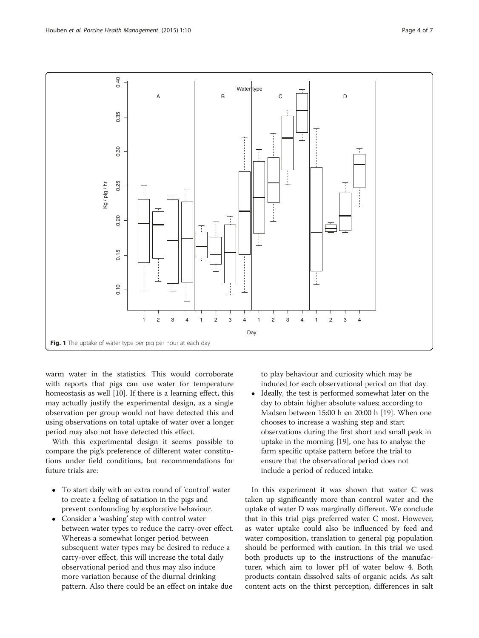<span id="page-3-0"></span>

warm water in the statistics. This would corroborate with reports that pigs can use water for temperature homeostasis as well [\[10](#page-6-0)]. If there is a learning effect, this may actually justify the experimental design, as a single observation per group would not have detected this and using observations on total uptake of water over a longer period may also not have detected this effect.

With this experimental design it seems possible to compare the pig's preference of different water constitutions under field conditions, but recommendations for future trials are:

- To start daily with an extra round of 'control' water to create a feeling of satiation in the pigs and prevent confounding by explorative behaviour.
- Consider a 'washing' step with control water between water types to reduce the carry-over effect. Whereas a somewhat longer period between subsequent water types may be desired to reduce a carry-over effect, this will increase the total daily observational period and thus may also induce more variation because of the diurnal drinking pattern. Also there could be an effect on intake due

to play behaviour and curiosity which may be induced for each observational period on that day.

• Ideally, the test is performed somewhat later on the day to obtain higher absolute values; according to Madsen between 15:00 h en 20:00 h [[19](#page-6-0)]. When one chooses to increase a washing step and start observations during the first short and small peak in uptake in the morning [\[19](#page-6-0)], one has to analyse the farm specific uptake pattern before the trial to ensure that the observational period does not include a period of reduced intake.

In this experiment it was shown that water C was taken up significantly more than control water and the uptake of water D was marginally different. We conclude that in this trial pigs preferred water C most. However, as water uptake could also be influenced by feed and water composition, translation to general pig population should be performed with caution. In this trial we used both products up to the instructions of the manufacturer, which aim to lower pH of water below 4. Both products contain dissolved salts of organic acids. As salt content acts on the thirst perception, differences in salt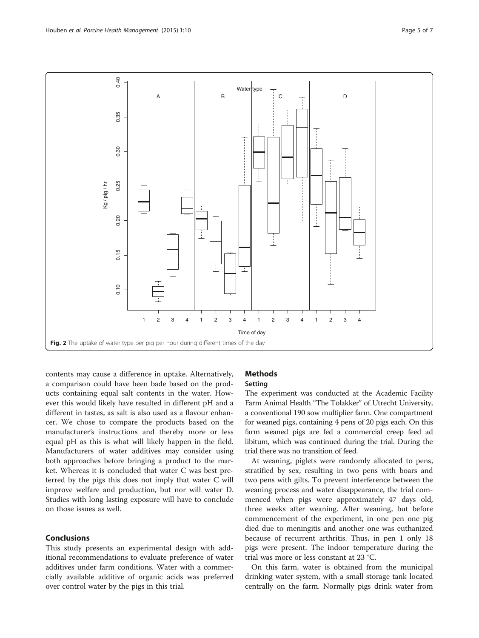<span id="page-4-0"></span>

contents may cause a difference in uptake. Alternatively, a comparison could have been bade based on the products containing equal salt contents in the water. However this would likely have resulted in different pH and a different in tastes, as salt is also used as a flavour enhancer. We chose to compare the products based on the manufacturer's instructions and thereby more or less equal pH as this is what will likely happen in the field. Manufacturers of water additives may consider using both approaches before bringing a product to the market. Whereas it is concluded that water C was best preferred by the pigs this does not imply that water C will improve welfare and production, but nor will water D. Studies with long lasting exposure will have to conclude on those issues as well.

# Conclusions

This study presents an experimental design with additional recommendations to evaluate preference of water additives under farm conditions. Water with a commercially available additive of organic acids was preferred over control water by the pigs in this trial.

# **Methods**

# Setting

The experiment was conducted at the Academic Facility Farm Animal Health "The Tolakker" of Utrecht University, a conventional 190 sow multiplier farm. One compartment for weaned pigs, containing 4 pens of 20 pigs each. On this farm weaned pigs are fed a commercial creep feed ad libitum, which was continued during the trial. During the trial there was no transition of feed.

At weaning, piglets were randomly allocated to pens, stratified by sex, resulting in two pens with boars and two pens with gilts. To prevent interference between the weaning process and water disappearance, the trial commenced when pigs were approximately 47 days old, three weeks after weaning. After weaning, but before commencement of the experiment, in one pen one pig died due to meningitis and another one was euthanized because of recurrent arthritis. Thus, in pen 1 only 18 pigs were present. The indoor temperature during the trial was more or less constant at 23 °C.

On this farm, water is obtained from the municipal drinking water system, with a small storage tank located centrally on the farm. Normally pigs drink water from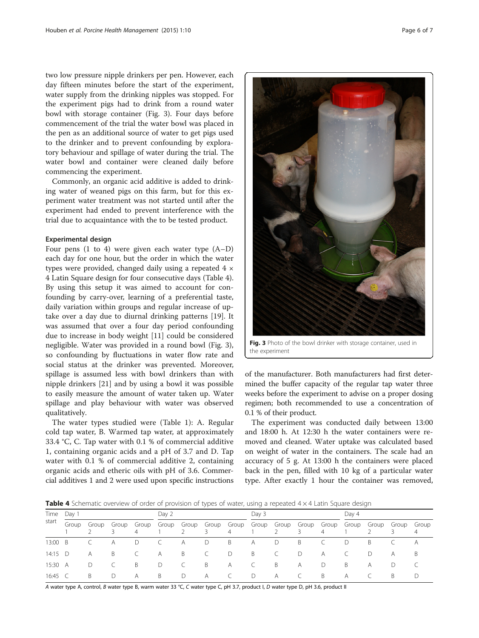two low pressure nipple drinkers per pen. However, each day fifteen minutes before the start of the experiment, water supply from the drinking nipples was stopped. For the experiment pigs had to drink from a round water bowl with storage container (Fig. 3). Four days before commencement of the trial the water bowl was placed in the pen as an additional source of water to get pigs used to the drinker and to prevent confounding by exploratory behaviour and spillage of water during the trial. The water bowl and container were cleaned daily before commencing the experiment.

Commonly, an organic acid additive is added to drinking water of weaned pigs on this farm, but for this experiment water treatment was not started until after the experiment had ended to prevent interference with the trial due to acquaintance with the to be tested product.

#### Experimental design

Four pens (1 to 4) were given each water type (A–D) each day for one hour, but the order in which the water types were provided, changed daily using a repeated  $4 \times$ 4 Latin Square design for four consecutive days (Table 4). By using this setup it was aimed to account for confounding by carry-over, learning of a preferential taste, daily variation within groups and regular increase of uptake over a day due to diurnal drinking patterns [\[19](#page-6-0)]. It was assumed that over a four day period confounding due to increase in body weight [\[11\]](#page-6-0) could be considered negligible. Water was provided in a round bowl (Fig. 3), so confounding by fluctuations in water flow rate and social status at the drinker was prevented. Moreover, spillage is assumed less with bowl drinkers than with nipple drinkers [[21\]](#page-6-0) and by using a bowl it was possible to easily measure the amount of water taken up. Water spillage and play behaviour with water was observed qualitatively.

The water types studied were (Table [1\)](#page-1-0): A. Regular cold tap water, B. Warmed tap water, at approximately 33.4 °C, C. Tap water with 0.1 % of commercial additive 1, containing organic acids and a pH of 3.7 and D. Tap water with 0.1 % of commercial additive 2, containing organic acids and etheric oils with pH of 3.6. Commercial additives 1 and 2 were used upon specific instructions



Fig. 3 Photo of the bowl drinker with storage container, used in the experiment

of the manufacturer. Both manufacturers had first determined the buffer capacity of the regular tap water three weeks before the experiment to advise on a proper dosing regimen; both recommended to use a concentration of 0.1 % of their product.

The experiment was conducted daily between 13:00 and 18:00 h. At 12:30 h the water containers were removed and cleaned. Water uptake was calculated based on weight of water in the containers. The scale had an accuracy of 5 g. At 13:00 h the containers were placed back in the pen, filled with 10 kg of a particular water type. After exactly 1 hour the container was removed,

**Table 4** Schematic overview of order of provision of types of water, using a repeated  $4 \times 4$  Latin Square design

| Time<br>start | Day 1 |    |              |     | Day 2 |    |              | Dav 3          |    |                |    | Day 4 |           |   |                                                                                     |           |
|---------------|-------|----|--------------|-----|-------|----|--------------|----------------|----|----------------|----|-------|-----------|---|-------------------------------------------------------------------------------------|-----------|
|               | Group |    | Group Group  | 4   |       |    |              | $\overline{4}$ |    |                |    | 4     |           |   | Group Group Group Group Group Group Group Group Group Group Group Group Group Group | 4         |
| 13:00 B       |       |    | A            |     |       | A  | D            | B              | A  | D              | B  |       | D         | B |                                                                                     | $\forall$ |
| 14:15 $D$     |       | A  | B.           |     | A     | B  | C            | $\Box$         | B  | $\overline{C}$ | D  | A     | $\subset$ | D | A                                                                                   | В         |
| 15:30 A       |       | D  | $\mathsf{C}$ | - B | D     |    | B            | A              | C  | B              | A  | D     | B         | A | D                                                                                   |           |
| 16:45 C       |       | -B | D            | A   | B.    | D. | $\mathsf{A}$ |                | D. | A              | C. | B.    | A         |   | B.                                                                                  | D         |

A water type A, control, B water type B, warm water 33 °C, C water type C, pH 3.7, product I, D water type D, pH 3.6, product II